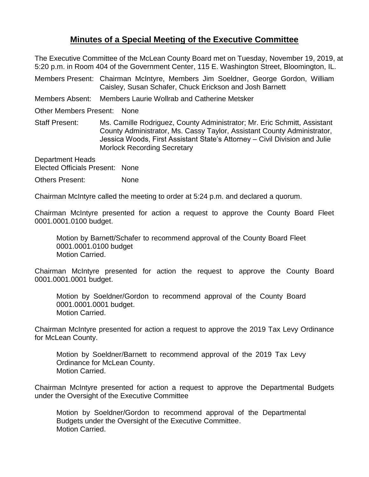## **Minutes of a Special Meeting of the Executive Committee**

The Executive Committee of the McLean County Board met on Tuesday, November 19, 2019, at 5:20 p.m. in Room 404 of the Government Center, 115 E. Washington Street, Bloomington, IL.

Members Present: Chairman McIntyre, Members Jim Soeldner, George Gordon, William Caisley, Susan Schafer, Chuck Erickson and Josh Barnett

Members Absent: Members Laurie Wollrab and Catherine Metsker

Other Members Present: None

Staff Present: Ms. Camille Rodriguez, County Administrator; Mr. Eric Schmitt, Assistant County Administrator, Ms. Cassy Taylor, Assistant County Administrator, Jessica Woods, First Assistant State's Attorney – Civil Division and Julie Morlock Recording Secretary

Department Heads Elected Officials Present: None

Others Present: None

Chairman McIntyre called the meeting to order at 5:24 p.m. and declared a quorum.

Chairman McIntyre presented for action a request to approve the County Board Fleet 0001.0001.0100 budget.

Motion by Barnett/Schafer to recommend approval of the County Board Fleet 0001.0001.0100 budget Motion Carried.

Chairman McIntyre presented for action the request to approve the County Board 0001.0001.0001 budget.

Motion by Soeldner/Gordon to recommend approval of the County Board 0001.0001.0001 budget. Motion Carried.

Chairman McIntyre presented for action a request to approve the 2019 Tax Levy Ordinance for McLean County.

Motion by Soeldner/Barnett to recommend approval of the 2019 Tax Levy Ordinance for McLean County. Motion Carried.

Chairman McIntyre presented for action a request to approve the Departmental Budgets under the Oversight of the Executive Committee

Motion by Soeldner/Gordon to recommend approval of the Departmental Budgets under the Oversight of the Executive Committee. Motion Carried.